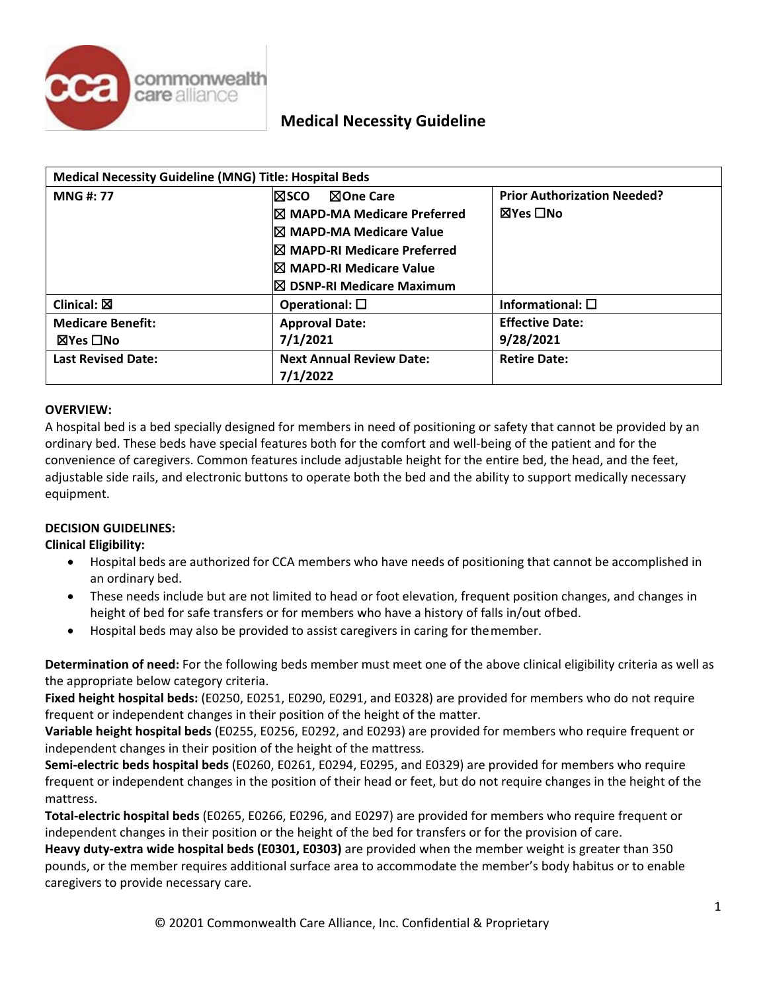

| <b>Medical Necessity Guideline (MNG) Title: Hospital Beds</b> |                                                                                                                                                                                        |                                                |
|---------------------------------------------------------------|----------------------------------------------------------------------------------------------------------------------------------------------------------------------------------------|------------------------------------------------|
| <b>MNG#: 77</b>                                               | ⊠One Care<br>l⊠sco<br>$\boxtimes$ MAPD-MA Medicare Preferred<br>I⊠ MAPD-MA Medicare Value<br>IX MAPD-RI Medicare Preferred<br>I⊠ MAPD-RI Medicare Value<br>I⊠ DSNP-RI Medicare Maximum | <b>Prior Authorization Needed?</b><br>⊠Yes □No |
| Clinical: $\boxtimes$                                         | Operational: $\square$                                                                                                                                                                 | Informational: $\square$                       |
| <b>Medicare Benefit:</b><br>⊠Yes □No                          | <b>Approval Date:</b><br>7/1/2021                                                                                                                                                      | <b>Effective Date:</b><br>9/28/2021            |
| <b>Last Revised Date:</b>                                     | <b>Next Annual Review Date:</b><br>7/1/2022                                                                                                                                            | <b>Retire Date:</b>                            |

#### **OVERVIEW:**

A hospital bed is a bed specially designed for members in need of positioning or safety that cannot be provided by an ordinary bed. These beds have special features both for the comfort and well-being of the patient and for the convenience of caregivers. Common features include adjustable height for the entire bed, the head, and the feet, adjustable side rails, and electronic buttons to operate both the bed and the ability to support medically necessary equipment.

#### **DECISION GUIDELINES:**

#### **Clinical Eligibility:**

- Hospital beds are authorized for CCA members who have needs of positioning that cannot be accomplished in an ordinary bed.
- These needs include but are not limited to head or foot elevation, frequent position changes, and changes in height of bed for safe transfers or for members who have a history of falls in/out ofbed.
- Hospital beds may also be provided to assist caregivers in caring for themember.

**Determination of need:** For the following beds member must meet one of the above clinical eligibility criteria as well as the appropriate below category criteria.

**Fixed height hospital beds:** (E0250, E0251, E0290, E0291, and E0328) are provided for members who do not require frequent or independent changes in their position of the height of the matter.

**Variable height hospital beds** (E0255, E0256, E0292, and E0293) are provided for members who require frequent or independent changes in their position of the height of the mattress.

**Semi-electric beds hospital beds** (E0260, E0261, E0294, E0295, and E0329) are provided for members who require frequent or independent changes in the position of their head or feet, but do not require changes in the height of the mattress.

**Total-electric hospital beds** (E0265, E0266, E0296, and E0297) are provided for members who require frequent or independent changes in their position or the height of the bed for transfers or for the provision of care.

**Heavy duty-extra wide hospital beds (E0301, E0303)** are provided when the member weight is greater than 350 pounds, or the member requires additional surface area to accommodate the member's body habitus or to enable caregivers to provide necessary care.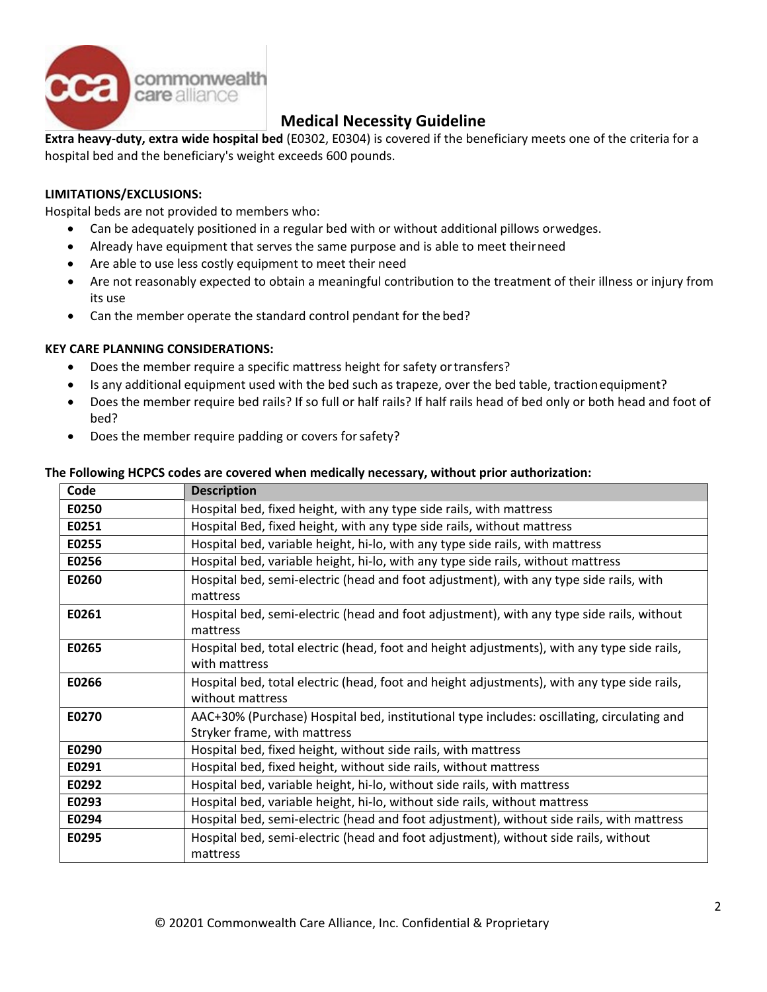

**Extra heavy-duty, extra wide hospital bed** (E0302, E0304) is covered if the beneficiary meets one of the criteria for a hospital bed and the beneficiary's weight exceeds 600 pounds.

#### **LIMITATIONS/EXCLUSIONS:**

Hospital beds are not provided to members who:

- Can be adequately positioned in a regular bed with or without additional pillows orwedges.
- Already have equipment that serves the same purpose and is able to meet theirneed
- Are able to use less costly equipment to meet their need
- Are not reasonably expected to obtain a meaningful contribution to the treatment of their illness or injury from its use
- Can the member operate the standard control pendant for the bed?

### **KEY CARE PLANNING CONSIDERATIONS:**

- Does the member require a specific mattress height for safety or transfers?
- Is any additional equipment used with the bed such as trapeze, over the bed table, tractionequipment?
- Does the member require bed rails? If so full or half rails? If half rails head of bed only or both head and foot of bed?
- Does the member require padding or covers for safety?

#### **The Following HCPCS codes are covered when medically necessary, without prior authorization:**

| Code  | <b>Description</b>                                                                                                         |  |
|-------|----------------------------------------------------------------------------------------------------------------------------|--|
| E0250 | Hospital bed, fixed height, with any type side rails, with mattress                                                        |  |
| E0251 | Hospital Bed, fixed height, with any type side rails, without mattress                                                     |  |
| E0255 | Hospital bed, variable height, hi-lo, with any type side rails, with mattress                                              |  |
| E0256 | Hospital bed, variable height, hi-lo, with any type side rails, without mattress                                           |  |
| E0260 | Hospital bed, semi-electric (head and foot adjustment), with any type side rails, with<br>mattress                         |  |
| E0261 | Hospital bed, semi-electric (head and foot adjustment), with any type side rails, without<br>mattress                      |  |
| E0265 | Hospital bed, total electric (head, foot and height adjustments), with any type side rails,<br>with mattress               |  |
| E0266 | Hospital bed, total electric (head, foot and height adjustments), with any type side rails,<br>without mattress            |  |
| E0270 | AAC+30% (Purchase) Hospital bed, institutional type includes: oscillating, circulating and<br>Stryker frame, with mattress |  |
| E0290 | Hospital bed, fixed height, without side rails, with mattress                                                              |  |
| E0291 | Hospital bed, fixed height, without side rails, without mattress                                                           |  |
| E0292 | Hospital bed, variable height, hi-lo, without side rails, with mattress                                                    |  |
| E0293 | Hospital bed, variable height, hi-lo, without side rails, without mattress                                                 |  |
| E0294 | Hospital bed, semi-electric (head and foot adjustment), without side rails, with mattress                                  |  |
| E0295 | Hospital bed, semi-electric (head and foot adjustment), without side rails, without<br>mattress                            |  |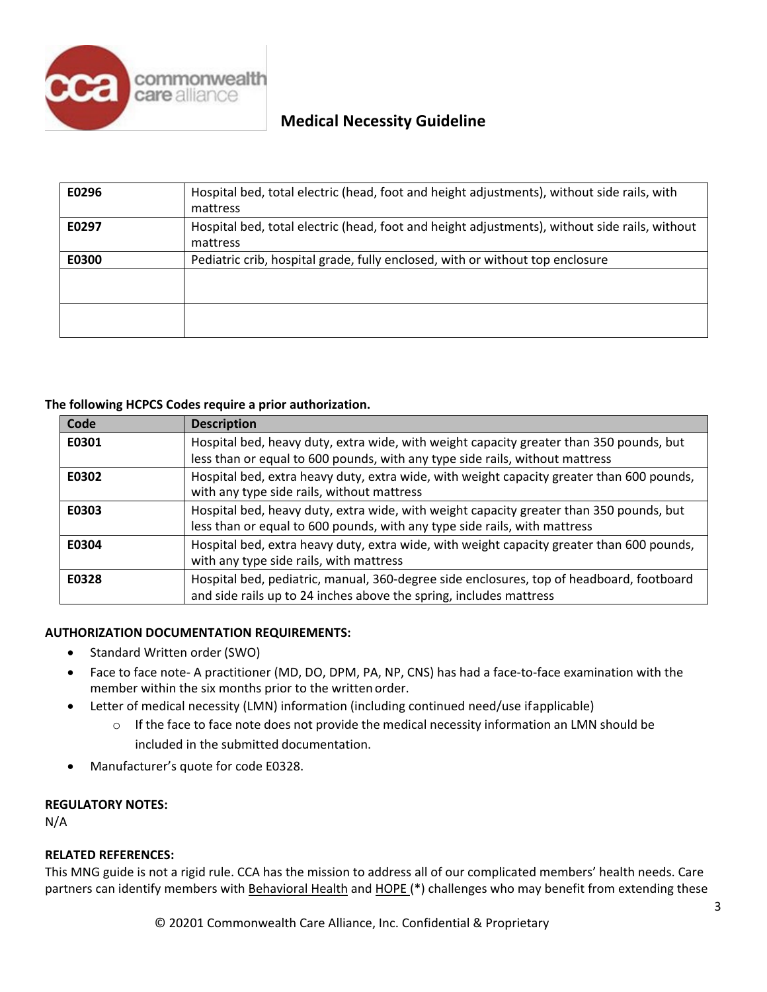

| E0296 | Hospital bed, total electric (head, foot and height adjustments), without side rails, with<br>mattress    |
|-------|-----------------------------------------------------------------------------------------------------------|
| E0297 | Hospital bed, total electric (head, foot and height adjustments), without side rails, without<br>mattress |
| E0300 | Pediatric crib, hospital grade, fully enclosed, with or without top enclosure                             |
|       |                                                                                                           |
|       |                                                                                                           |

#### **The following HCPCS Codes require a prior authorization.**

| Code  | <b>Description</b>                                                                                                                                                      |
|-------|-------------------------------------------------------------------------------------------------------------------------------------------------------------------------|
| E0301 | Hospital bed, heavy duty, extra wide, with weight capacity greater than 350 pounds, but<br>less than or equal to 600 pounds, with any type side rails, without mattress |
| E0302 | Hospital bed, extra heavy duty, extra wide, with weight capacity greater than 600 pounds,<br>with any type side rails, without mattress                                 |
| E0303 | Hospital bed, heavy duty, extra wide, with weight capacity greater than 350 pounds, but<br>less than or equal to 600 pounds, with any type side rails, with mattress    |
| E0304 | Hospital bed, extra heavy duty, extra wide, with weight capacity greater than 600 pounds,<br>with any type side rails, with mattress                                    |
| E0328 | Hospital bed, pediatric, manual, 360-degree side enclosures, top of headboard, footboard<br>and side rails up to 24 inches above the spring, includes mattress          |

#### **AUTHORIZATION DOCUMENTATION REQUIREMENTS:**

- Standard Written order (SWO)
- Face to face note- A practitioner (MD, DO, DPM, PA, NP, CNS) has had a face-to-face examination with the member within the six months prior to the written order.
- Letter of medical necessity (LMN) information (including continued need/use ifapplicable)
	- $\circ$  If the face to face note does not provide the medical necessity information an LMN should be included in the submitted documentation.
- Manufacturer's quote for code E0328.

#### **REGULATORY NOTES:**

N/A

#### **RELATED REFERENCES:**

This MNG guide is not a rigid rule. CCA has the mission to address all of our complicated members' health needs. Care partners can identify members with Behavioral Health and HOPE (\*) challenges who may benefit from extending these

© 20201 Commonwealth Care Alliance, Inc. Confidential & Proprietary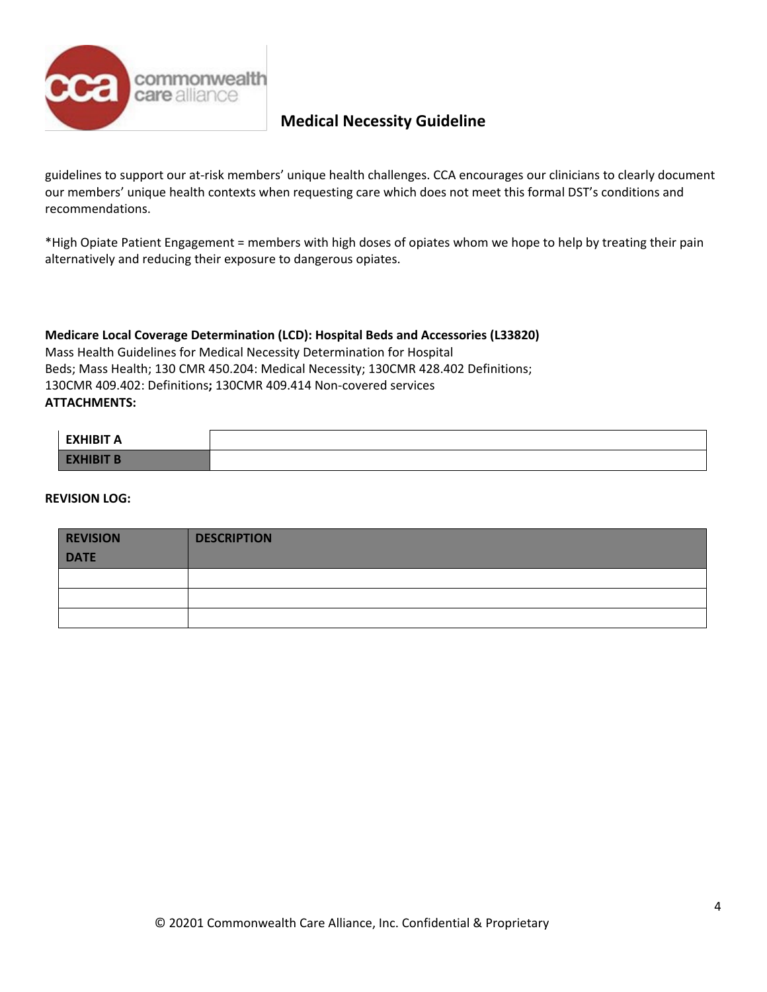

guidelines to support our at-risk members' unique health challenges. CCA encourages our clinicians to clearly document our members' unique health contexts when requesting care which does not meet this formal DST's conditions and recommendations.

\*High Opiate Patient Engagement = members with high doses of opiates whom we hope to help by treating their pain alternatively and reducing their exposure to dangerous opiates.

**Medicare Local Coverage Determination (LCD): Hospital Beds and Accessories (L33820)** Mass Health Guidelines for Medical Necessity Determination for Hospital Beds; Mass Health; 130 CMR 450.204: Medical Necessity; 130CMR 428.402 Definitions; 130CMR 409.402: Definitions**;** 130CMR 409.414 Non-covered services **ATTACHMENTS:**

| <b>EXHIBIT A</b> |  |
|------------------|--|
| ________         |  |

#### **REVISION LOG:**

| <b>REVISION</b><br><b>DATE</b> | <b>DESCRIPTION</b> |
|--------------------------------|--------------------|
|                                |                    |
|                                |                    |
|                                |                    |